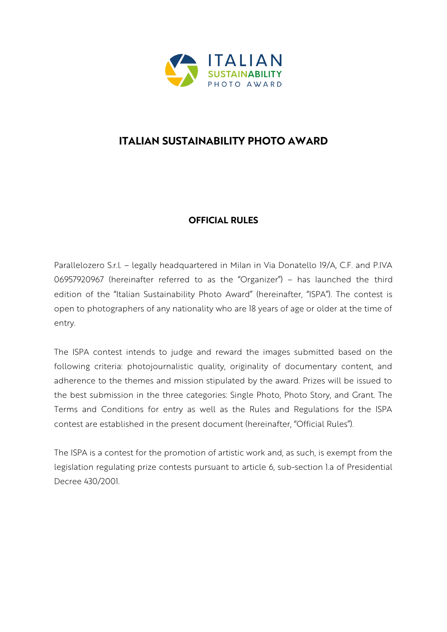

# **ITALIAN SUSTAINABILITY PHOTO AWARD**

## **OFFICIAL RULES**

Parallelozero S.r.l. – legally headquartered in Milan in Via Donatello 19/A, C.F. and P.IVA 06957920967 (hereinafter referred to as the "Organizer") – has launched the third edition of the "Italian Sustainability Photo Award" (hereinafter, "ISPA"). The contest is open to photographers of any nationality who are 18 years of age or older at the time of entry.

The ISPA contest intends to judge and reward the images submitted based on the following criteria: photojournalistic quality, originality of documentary content, and adherence to the themes and mission stipulated by the award. Prizes will be issued to the best submission in the three categories: Single Photo, Photo Story, and Grant. The Terms and Conditions for entry as well as the Rules and Regulations for the ISPA contest are established in the present document (hereinafter, "Official Rules").

The ISPA is a contest for the promotion of artistic work and, as such, is exempt from the legislation regulating prize contests pursuant to article 6, sub-section 1.a of Presidential Decree 430/2001.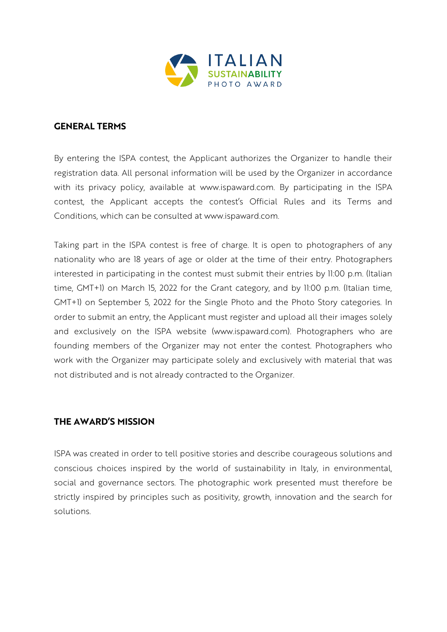

#### **GENERAL TERMS**

By entering the ISPA contest, the Applicant authorizes the Organizer to handle their registration data. All personal information will be used by the Organizer in accordance with its privacy policy, available at www.ispaward.com. By participating in the ISPA contest, the Applicant accepts the contest's Official Rules and its Terms and Conditions, which can be consulted at www.ispaward.com.

Taking part in the ISPA contest is free of charge. It is open to photographers of any nationality who are 18 years of age or older at the time of their entry. Photographers interested in participating in the contest must submit their entries by 11:00 p.m. (Italian time, GMT+1) on March 15, 2022 for the Grant category, and by 11:00 p.m. (Italian time, GMT+1) on September 5, 2022 for the Single Photo and the Photo Story categories. In order to submit an entry, the Applicant must register and upload all their images solely and exclusively on the ISPA website (www.ispaward.com). Photographers who are founding members of the Organizer may not enter the contest. Photographers who work with the Organizer may participate solely and exclusively with material that was not distributed and is not already contracted to the Organizer.

## **THE AWARD'S MISSION**

ISPA was created in order to tell positive stories and describe courageous solutions and conscious choices inspired by the world of sustainability in Italy, in environmental, social and governance sectors. The photographic work presented must therefore be strictly inspired by principles such as positivity, growth, innovation and the search for solutions.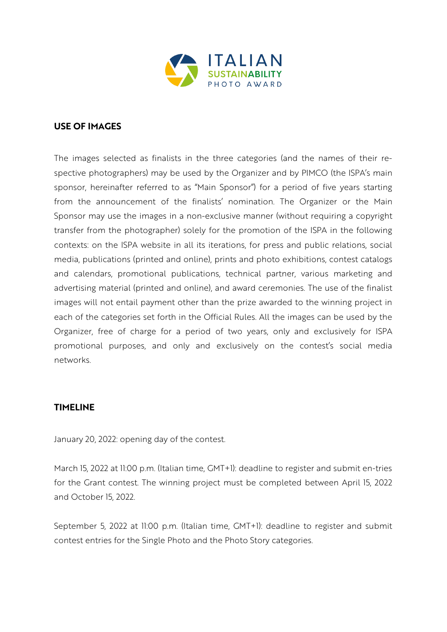

#### **USE OF IMAGES**

The images selected as finalists in the three categories (and the names of their respective photographers) may be used by the Organizer and by PIMCO (the ISPA's main sponsor, hereinafter referred to as "Main Sponsor") for a period of five years starting from the announcement of the finalists' nomination. The Organizer or the Main Sponsor may use the images in a non-exclusive manner (without requiring a copyright transfer from the photographer) solely for the promotion of the ISPA in the following contexts: on the ISPA website in all its iterations, for press and public relations, social media, publications (printed and online), prints and photo exhibitions, contest catalogs and calendars, promotional publications, technical partner, various marketing and advertising material (printed and online), and award ceremonies. The use of the finalist images will not entail payment other than the prize awarded to the winning project in each of the categories set forth in the Official Rules. All the images can be used by the Organizer, free of charge for a period of two years, only and exclusively for ISPA promotional purposes, and only and exclusively on the contest's social media networks.

#### **TIMELINE**

January 20, 2022: opening day of the contest.

March 15, 2022 at 11:00 p.m. (Italian time, GMT+1): deadline to register and submit en-tries for the Grant contest. The winning project must be completed between April 15, 2022 and October 15, 2022.

September 5, 2022 at 11:00 p.m. (Italian time, GMT+1): deadline to register and submit contest entries for the Single Photo and the Photo Story categories.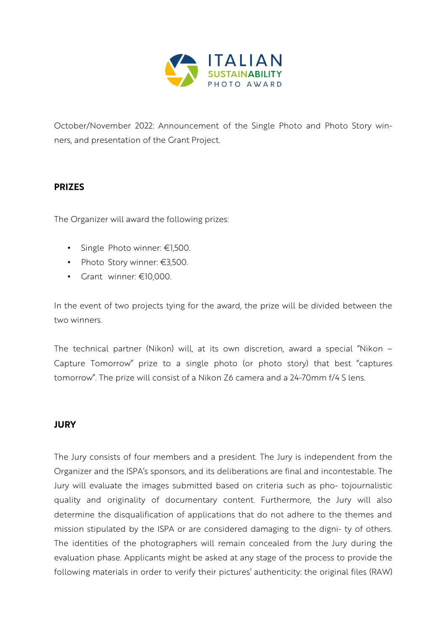

October/November 2022: Announcement of the Single Photo and Photo Story winners, and presentation of the Grant Project.

#### **PRIZES**

The Organizer will award the following prizes:

- Single Photo winner: €1,500.
- Photo Story winner: €3,500.
- Grant winner: €10,000.

In the event of two projects tying for the award, the prize will be divided between the two winners.

The technical partner (Nikon) will, at its own discretion, award a special "Nikon – Capture Tomorrow" prize to a single photo (or photo story) that best "captures tomorrow". The prize will consist of a Nikon Z6 camera and a 24-70mm f/4 S lens.

## **JURY**

The Jury consists of four members and a president. The Jury is independent from the Organizer and the ISPA's sponsors, and its deliberations are final and incontestable. The Jury will evaluate the images submitted based on criteria such as pho- tojournalistic quality and originality of documentary content. Furthermore, the Jury will also determine the disqualification of applications that do not adhere to the themes and mission stipulated by the ISPA or are considered damaging to the digni- ty of others. The identities of the photographers will remain concealed from the Jury during the evaluation phase. Applicants might be asked at any stage of the process to provide the following materials in order to verify their pictures' authenticity: the original files (RAW)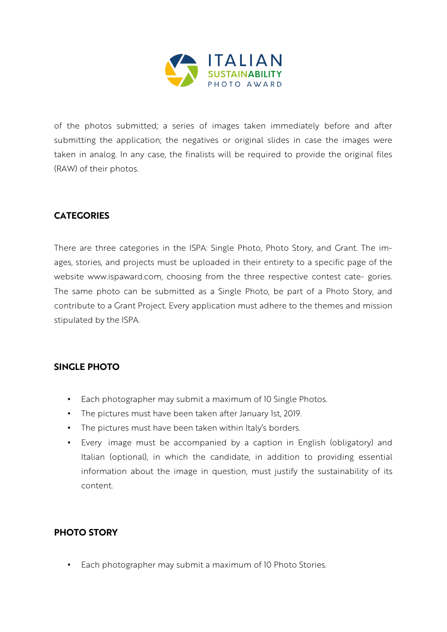

of the photos submitted; a series of images taken immediately before and after submitting the application; the negatives or original slides in case the images were taken in analog. In any case, the finalists will be required to provide the original files (RAW) of their photos.

## **CATEGORIES**

There are three categories in the ISPA: Single Photo, Photo Story, and Grant. The images, stories, and projects must be uploaded in their entirety to a specific page of the website www.ispaward.com, choosing from the three respective contest cate- gories. The same photo can be submitted as a Single Photo, be part of a Photo Story, and contribute to a Grant Project. Every application must adhere to the themes and mission stipulated by the ISPA.

## **SINGLE PHOTO**

- Each photographer may submit a maximum of 10 Single Photos.
- The pictures must have been taken after January 1st, 2019.
- The pictures must have been taken within Italy's borders.
- Every image must be accompanied by a caption in English (obligatory) and Italian (optional), in which the candidate, in addition to providing essential information about the image in question, must justify the sustainability of its content.

## **PHOTO STORY**

• Each photographer may submit a maximum of 10 Photo Stories.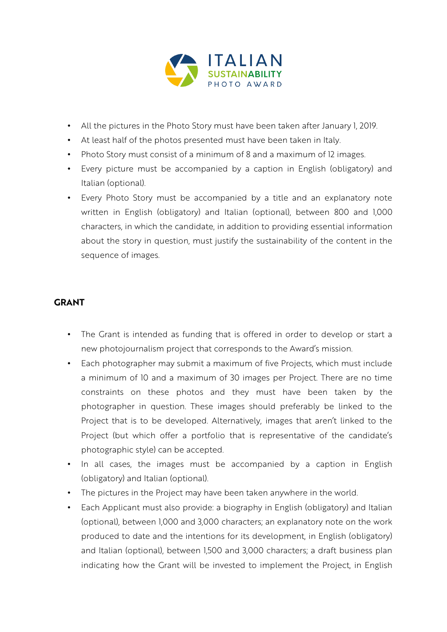

- All the pictures in the Photo Story must have been taken after January 1, 2019.
- At least half of the photos presented must have been taken in Italy.
- Photo Story must consist of a minimum of 8 and a maximum of 12 images.
- Every picture must be accompanied by a caption in English (obligatory) and Italian (optional).
- Every Photo Story must be accompanied by a title and an explanatory note written in English (obligatory) and Italian (optional), between 800 and 1,000 characters, in which the candidate, in addition to providing essential information about the story in question, must justify the sustainability of the content in the sequence of images.

## **GRANT**

- The Grant is intended as funding that is offered in order to develop or start a new photojournalism project that corresponds to the Award's mission.
- Each photographer may submit a maximum of five Projects, which must include a minimum of 10 and a maximum of 30 images per Project. There are no time constraints on these photos and they must have been taken by the photographer in question. These images should preferably be linked to the Project that is to be developed. Alternatively, images that aren't linked to the Project (but which offer a portfolio that is representative of the candidate's photographic style) can be accepted.
- In all cases, the images must be accompanied by a caption in English (obligatory) and Italian (optional).
- The pictures in the Project may have been taken anywhere in the world.
- Each Applicant must also provide: a biography in English (obligatory) and Italian (optional), between 1,000 and 3,000 characters; an explanatory note on the work produced to date and the intentions for its development, in English (obligatory) and Italian (optional), between 1,500 and 3,000 characters; a draft business plan indicating how the Grant will be invested to implement the Project, in English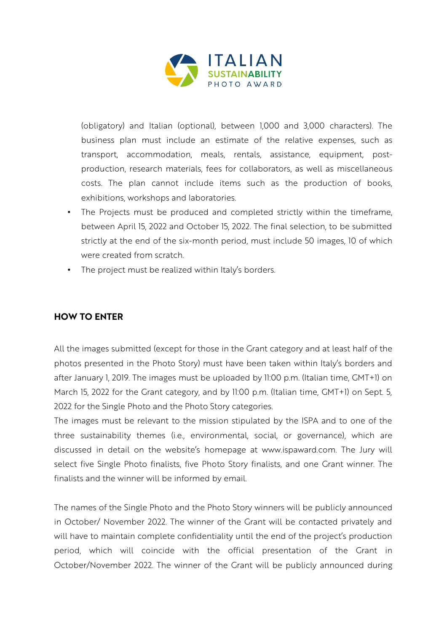

(obligatory) and Italian (optional), between 1,000 and 3,000 characters). The business plan must include an estimate of the relative expenses, such as transport, accommodation, meals, rentals, assistance, equipment, postproduction, research materials, fees for collaborators, as well as miscellaneous costs. The plan cannot include items such as the production of books, exhibitions, workshops and laboratories.

- The Projects must be produced and completed strictly within the timeframe, between April 15, 2022 and October 15, 2022. The final selection, to be submitted strictly at the end of the six-month period, must include 50 images, 10 of which were created from scratch.
- The project must be realized within Italy's borders.

## **HOW TO ENTER**

All the images submitted (except for those in the Grant category and at least half of the photos presented in the Photo Story) must have been taken within Italy's borders and after January 1, 2019. The images must be uploaded by 11:00 p.m. (Italian time, GMT+1) on March 15, 2022 for the Grant category, and by 11:00 p.m. (Italian time, GMT+1) on Sept. 5, 2022 for the Single Photo and the Photo Story categories.

The images must be relevant to the mission stipulated by the ISPA and to one of the three sustainability themes (i.e., environmental, social, or governance), which are discussed in detail on the website's homepage at www.ispaward.com. The Jury will select five Single Photo finalists, five Photo Story finalists, and one Grant winner. The finalists and the winner will be informed by email.

The names of the Single Photo and the Photo Story winners will be publicly announced in October/ November 2022. The winner of the Grant will be contacted privately and will have to maintain complete confidentiality until the end of the project's production period, which will coincide with the official presentation of the Grant in October/November 2022. The winner of the Grant will be publicly announced during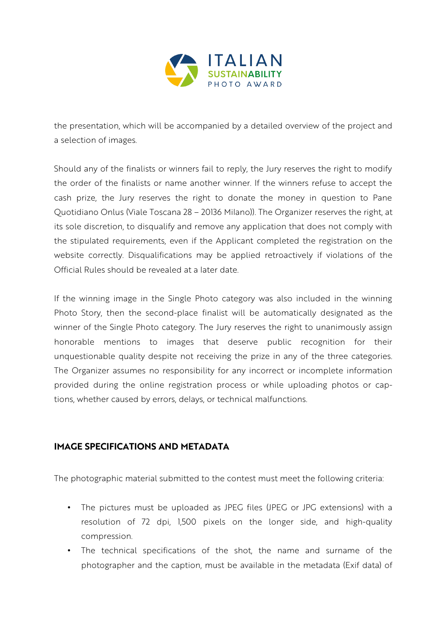

the presentation, which will be accompanied by a detailed overview of the project and a selection of images.

Should any of the finalists or winners fail to reply, the Jury reserves the right to modify the order of the finalists or name another winner. If the winners refuse to accept the cash prize, the Jury reserves the right to donate the money in question to Pane Quotidiano Onlus (Viale Toscana 28 – 20136 Milano)). The Organizer reserves the right, at its sole discretion, to disqualify and remove any application that does not comply with the stipulated requirements, even if the Applicant completed the registration on the website correctly. Disqualifications may be applied retroactively if violations of the Official Rules should be revealed at a later date.

If the winning image in the Single Photo category was also included in the winning Photo Story, then the second-place finalist will be automatically designated as the winner of the Single Photo category. The Jury reserves the right to unanimously assign honorable mentions to images that deserve public recognition for their unquestionable quality despite not receiving the prize in any of the three categories. The Organizer assumes no responsibility for any incorrect or incomplete information provided during the online registration process or while uploading photos or captions, whether caused by errors, delays, or technical malfunctions.

## **IMAGE SPECIFICATIONS AND METADATA**

The photographic material submitted to the contest must meet the following criteria:

- The pictures must be uploaded as JPEG files (JPEG or JPG extensions) with a resolution of 72 dpi, 1,500 pixels on the longer side, and high-quality compression.
- The technical specifications of the shot, the name and surname of the photographer and the caption, must be available in the metadata (Exif data) of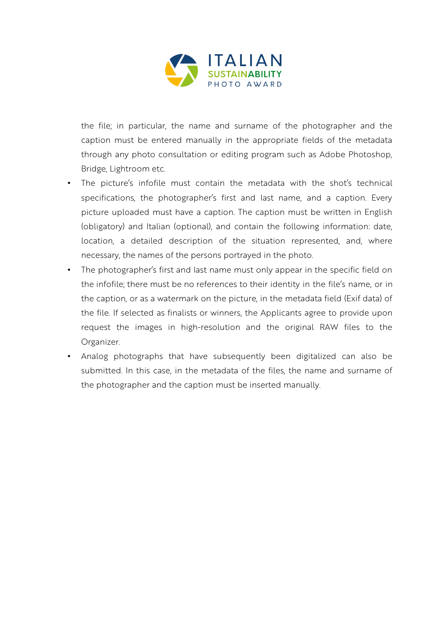

the file; in particular, the name and surname of the photographer and the caption must be entered manually in the appropriate fields of the metadata through any photo consultation or editing program such as Adobe Photoshop, Bridge, Lightroom etc.

- The picture's infofile must contain the metadata with the shot's technical specifications, the photographer's first and last name, and a caption. Every picture uploaded must have a caption. The caption must be written in English (obligatory) and Italian (optional), and contain the following information: date, location, a detailed description of the situation represented, and, where necessary, the names of the persons portrayed in the photo.
- The photographer's first and last name must only appear in the specific field on the infofile; there must be no references to their identity in the file's name, or in the caption, or as a watermark on the picture, in the metadata field (Exif data) of the file. If selected as finalists or winners, the Applicants agree to provide upon request the images in high-resolution and the original RAW files to the Organizer.
- Analog photographs that have subsequently been digitalized can also be submitted. In this case, in the metadata of the files, the name and surname of the photographer and the caption must be inserted manually.